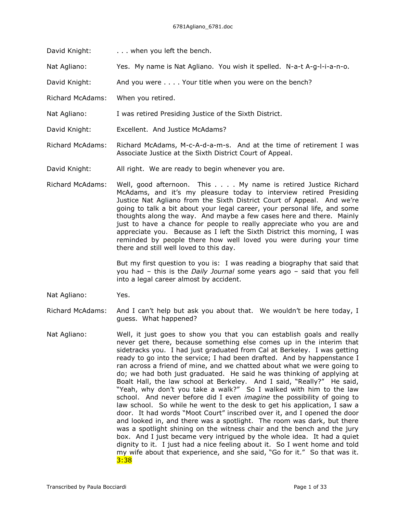- David Knight: . . . . when you left the bench.
- Nat Agliano: Yes. My name is Nat Agliano. You wish it spelled. N-a-t A-g-l-i-a-n-o.

David Knight: And you were . . . . Your title when you were on the bench?

- Richard McAdams: When you retired.
- Nat Agliano: I was retired Presiding Justice of the Sixth District.
- David Knight: Excellent. And Justice McAdams?
- Richard McAdams: Richard McAdams, M-c-A-d-a-m-s. And at the time of retirement I was Associate Justice at the Sixth District Court of Appeal.
- David Knight: All right. We are ready to begin whenever you are.
- Richard McAdams: Well, good afternoon. This . . . . My name is retired Justice Richard McAdams, and it's my pleasure today to interview retired Presiding Justice Nat Agliano from the Sixth District Court of Appeal. And we're going to talk a bit about your legal career, your personal life, and some thoughts along the way. And maybe a few cases here and there. Mainly just to have a chance for people to really appreciate who you are and appreciate you. Because as I left the Sixth District this morning, I was reminded by people there how well loved you were during your time there and still well loved to this day.

But my first question to you is: I was reading a biography that said that you had – this is the *Daily Journal* some years ago – said that you fell into a legal career almost by accident.

- Nat Agliano: Yes.
- Richard McAdams: And I can't help but ask you about that. We wouldn't be here today, I guess. What happened?
- Nat Agliano: Well, it just goes to show you that you can establish goals and really never get there, because something else comes up in the interim that sidetracks you. I had just graduated from Cal at Berkeley. I was getting ready to go into the service; I had been drafted. And by happenstance I ran across a friend of mine, and we chatted about what we were going to do; we had both just graduated. He said he was thinking of applying at Boalt Hall, the law school at Berkeley. And I said, "Really?" He said, "Yeah, why don't you take a walk?" So I walked with him to the law school. And never before did I even *imagine* the possibility of going to law school. So while he went to the desk to get his application, I saw a door. It had words "Moot Court" inscribed over it, and I opened the door and looked in, and there was a spotlight. The room was dark, but there was a spotlight shining on the witness chair and the bench and the jury box. And I just became very intrigued by the whole idea. It had a quiet dignity to it. I just had a nice feeling about it. So I went home and told my wife about that experience, and she said, "Go for it." So that was it. 3:38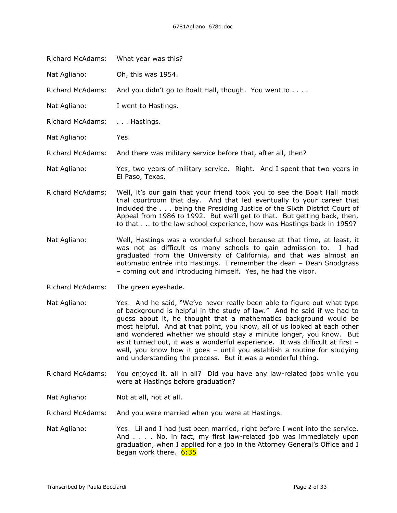| What year was this?                                                                                                                                                                                                                                                                                                                                                               |
|-----------------------------------------------------------------------------------------------------------------------------------------------------------------------------------------------------------------------------------------------------------------------------------------------------------------------------------------------------------------------------------|
| Oh, this was 1954.                                                                                                                                                                                                                                                                                                                                                                |
| And you didn't go to Boalt Hall, though. You went to                                                                                                                                                                                                                                                                                                                              |
| I went to Hastings.                                                                                                                                                                                                                                                                                                                                                               |
| Hastings.                                                                                                                                                                                                                                                                                                                                                                         |
| Yes.                                                                                                                                                                                                                                                                                                                                                                              |
| And there was military service before that, after all, then?                                                                                                                                                                                                                                                                                                                      |
| Yes, two years of military service. Right. And I spent that two years in<br>El Paso, Texas.                                                                                                                                                                                                                                                                                       |
| Well, it's our gain that your friend took you to see the Boalt Hall mock<br>trial courtroom that day. And that led eventually to your career that<br>included the being the Presiding Justice of the Sixth District Court of<br>Appeal from 1986 to 1992. But we'll get to that. But getting back, then,<br>to that. to the law school experience, how was Hastings back in 1959? |
|                                                                                                                                                                                                                                                                                                                                                                                   |

- Nat Agliano: Well, Hastings was a wonderful school because at that time, at least, it was not as difficult as many schools to gain admission to. I had graduated from the University of California, and that was almost an automatic entrée into Hastings. I remember the dean – Dean Snodgrass – coming out and introducing himself. Yes, he had the visor.
- Richard McAdams: The green eyeshade.
- Nat Agliano: Yes. And he said, "We've never really been able to figure out what type of background is helpful in the study of law." And he said if we had to guess about it, he thought that a mathematics background would be most helpful. And at that point, you know, all of us looked at each other and wondered whether we should stay a minute longer, you know. But as it turned out, it was a wonderful experience. It was difficult at first – well, you know how it goes – until you establish a routine for studying and understanding the process. But it was a wonderful thing.
- Richard McAdams: You enjoyed it, all in all? Did you have any law-related jobs while you were at Hastings before graduation?
- Nat Agliano: Not at all, not at all.
- Richard McAdams: And you were married when you were at Hastings.
- Nat Agliano: Yes. Lil and I had just been married, right before I went into the service. And . . . . No, in fact, my first law-related job was immediately upon graduation, when I applied for a job in the Attorney General's Office and I began work there. 6:35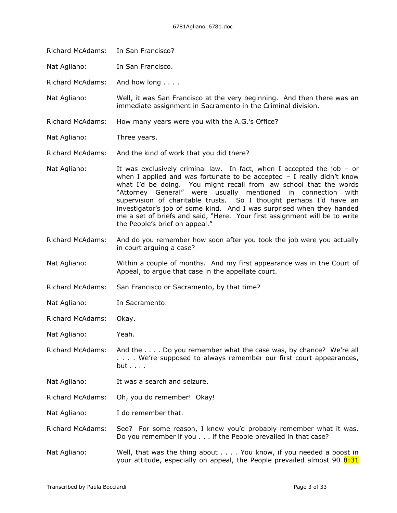Richard McAdams: In San Francisco?

Nat Agliano: In San Francisco.

Richard McAdams: And how long . . . .

Nat Agliano: Well, it was San Francisco at the very beginning. And then there was an immediate assignment in Sacramento in the Criminal division.

- Richard McAdams: How many years were you with the A.G.'s Office?
- Nat Agliano: Three years.

Richard McAdams: And the kind of work that you did there?

- Nat Agliano: It was exclusively criminal law. In fact, when I accepted the job or when I applied and was fortunate to be accepted  $-$  I really didn't know what I'd be doing. You might recall from law school that the words "Attorney General" were usually mentioned in connection with supervision of charitable trusts. So I thought perhaps I'd have an investigator's job of some kind. And I was surprised when they handed me a set of briefs and said, "Here. Your first assignment will be to write the People's brief on appeal."
- Richard McAdams: And do you remember how soon after you took the job were you actually in court arguing a case?
- Nat Agliano: Within a couple of months. And my first appearance was in the Court of Appeal, to argue that case in the appellate court.
- Richard McAdams: San Francisco or Sacramento, by that time?
- Nat Agliano: In Sacramento.

Richard McAdams: Okay.

Nat Agliano: Yeah.

Richard McAdams: And the . . . . Do you remember what the case was, by chance? We're all . . . . We're supposed to always remember our first court appearances, but . . . .

- Nat Agliano: It was a search and seizure.
- Richard McAdams: Oh, you do remember! Okay!

Nat Agliano: I do remember that.

- Richard McAdams: See? For some reason, I knew you'd probably remember what it was. Do you remember if you . . . if the People prevailed in that case?
- Nat Agliano: Well, that was the thing about . . . . You know, if you needed a boost in your attitude, especially on appeal, the People prevailed almost 90  $8:31$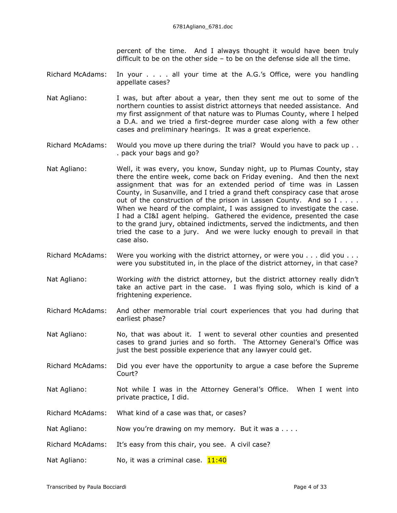percent of the time. And I always thought it would have been truly difficult to be on the other side – to be on the defense side all the time.

Richard McAdams: In your . . . . all your time at the A.G.'s Office, were you handling appellate cases?

- Nat Agliano: I was, but after about a year, then they sent me out to some of the northern counties to assist district attorneys that needed assistance. And my first assignment of that nature was to Plumas County, where I helped a D.A. and we tried a first-degree murder case along with a few other cases and preliminary hearings. It was a great experience.
- Richard McAdams: Would you move up there during the trial? Would you have to pack up . . . pack your bags and go?
- Nat Agliano: Well, it was every, you know, Sunday night, up to Plumas County, stay there the entire week, come back on Friday evening. And then the next assignment that was for an extended period of time was in Lassen County, in Susanville, and I tried a grand theft conspiracy case that arose out of the construction of the prison in Lassen County. And so I . . . . When we heard of the complaint, I was assigned to investigate the case. I had a CI&I agent helping. Gathered the evidence, presented the case to the grand jury, obtained indictments, served the indictments, and then tried the case to a jury. And we were lucky enough to prevail in that case also.
- Richard McAdams: Were you working with the district attorney, or were you . . . did you . . . were you substituted in, in the place of the district attorney, in that case?
- Nat Agliano: Working *with* the district attorney, but the district attorney really didn't take an active part in the case. I was flying solo, which is kind of a frightening experience.
- Richard McAdams: And other memorable trial court experiences that you had during that earliest phase?
- Nat Agliano: No, that was about it. I went to several other counties and presented cases to grand juries and so forth. The Attorney General's Office was just the best possible experience that any lawyer could get.
- Richard McAdams: Did you ever have the opportunity to argue a case before the Supreme Court?
- Nat Agliano: Not while I was in the Attorney General's Office. When I went into private practice, I did.
- Richard McAdams: What kind of a case was that, or cases?
- Nat Agliano: Now you're drawing on my memory. But it was a . . . .
- Richard McAdams: It's easy from this chair, you see. A civil case?
- Nat Agliano:  $N_0$ , it was a criminal case.  $11:40$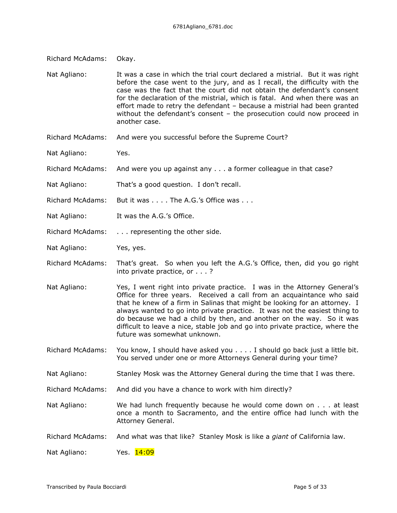| <b>Richard McAdams:</b> | Okay.                                                                                                                                                                                                                                                                                                                                                                                                                                                                                                  |
|-------------------------|--------------------------------------------------------------------------------------------------------------------------------------------------------------------------------------------------------------------------------------------------------------------------------------------------------------------------------------------------------------------------------------------------------------------------------------------------------------------------------------------------------|
| Nat Agliano:            | It was a case in which the trial court declared a mistrial. But it was right<br>before the case went to the jury, and as I recall, the difficulty with the<br>case was the fact that the court did not obtain the defendant's consent<br>for the declaration of the mistrial, which is fatal. And when there was an<br>effort made to retry the defendant - because a mistrial had been granted<br>without the defendant's consent $-$ the prosecution could now proceed in<br>another case.           |
| <b>Richard McAdams:</b> | And were you successful before the Supreme Court?                                                                                                                                                                                                                                                                                                                                                                                                                                                      |
| Nat Agliano:            | Yes.                                                                                                                                                                                                                                                                                                                                                                                                                                                                                                   |
| <b>Richard McAdams:</b> | And were you up against any a former colleague in that case?                                                                                                                                                                                                                                                                                                                                                                                                                                           |
| Nat Agliano:            | That's a good question. I don't recall.                                                                                                                                                                                                                                                                                                                                                                                                                                                                |
| <b>Richard McAdams:</b> | But it was The A.G.'s Office was                                                                                                                                                                                                                                                                                                                                                                                                                                                                       |
| Nat Agliano:            | It was the A.G.'s Office.                                                                                                                                                                                                                                                                                                                                                                                                                                                                              |
| <b>Richard McAdams:</b> | representing the other side.                                                                                                                                                                                                                                                                                                                                                                                                                                                                           |
| Nat Agliano:            | Yes, yes.                                                                                                                                                                                                                                                                                                                                                                                                                                                                                              |
| <b>Richard McAdams:</b> | That's great. So when you left the A.G.'s Office, then, did you go right<br>into private practice, or ?                                                                                                                                                                                                                                                                                                                                                                                                |
| Nat Agliano:            | Yes, I went right into private practice. I was in the Attorney General's<br>Office for three years. Received a call from an acquaintance who said<br>that he knew of a firm in Salinas that might be looking for an attorney. I<br>always wanted to go into private practice. It was not the easiest thing to<br>do because we had a child by then, and another on the way. So it was<br>difficult to leave a nice, stable job and go into private practice, where the<br>future was somewhat unknown. |
| Richard McAdams:        | You know, I should have asked you I should go back just a little bit.                                                                                                                                                                                                                                                                                                                                                                                                                                  |

You served under one or more Attorneys General during your time?

Nat Agliano: Stanley Mosk was the Attorney General during the time that I was there.

Richard McAdams: And did you have a chance to work with him directly?

Nat Agliano: We had lunch frequently because he would come down on . . . at least once a month to Sacramento, and the entire office had lunch with the Attorney General.

Richard McAdams: And what was that like? Stanley Mosk is like a *giant* of California law.

Nat Agliano: Yes. 14:09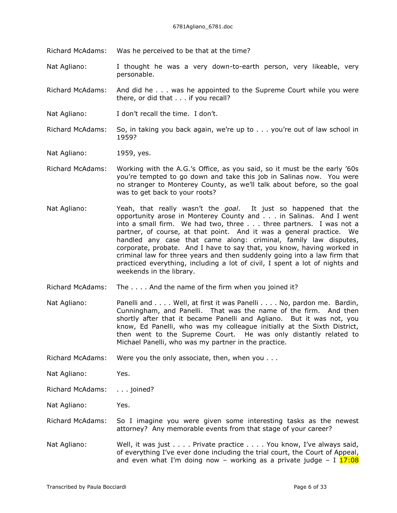Richard McAdams: Was he perceived to be that at the time?

Nat Agliano: I thought he was a very down-to-earth person, very likeable, very personable.

Richard McAdams: And did he . . . was he appointed to the Supreme Court while you were there, or did that . . . if you recall?

Nat Agliano: I don't recall the time. I don't.

Richard McAdams: So, in taking you back again, we're up to . . . you're out of law school in 1959?

Nat Agliano: 1959, yes.

- Richard McAdams: Working with the A.G.'s Office, as you said, so it must be the early '60s you're tempted to go down and take this job in Salinas now. You were no stranger to Monterey County, as we'll talk about before, so the goal was to get back to your roots?
- Nat Agliano: Yeah, that really wasn't the *goal*. It just so happened that the opportunity arose in Monterey County and . . . in Salinas. And I went into a small firm. We had two, three . . . three partners. I was not a partner, of course, at that point. And it was a general practice. We handled any case that came along: criminal, family law disputes, corporate, probate. And I have to say that, you know, having worked in criminal law for three years and then suddenly going into a law firm that practiced everything, including a lot of civil, I spent a lot of nights and weekends in the library.
- Richard McAdams: The . . . . And the name of the firm when you joined it?
- Nat Agliano: Panelli and . . . . Well, at first it was Panelli . . . . No, pardon me. Bardin, Cunningham, and Panelli. That was the name of the firm. And then shortly after that it became Panelli and Agliano. But it was not, you know, Ed Panelli, who was my colleague initially at the Sixth District, then went to the Supreme Court. He was only distantly related to Michael Panelli, who was my partner in the practice.

Richard McAdams: Were you the only associate, then, when you . . .

Nat Agliano: Yes.

Richard McAdams: . . . joined?

Nat Agliano: Yes.

Richard McAdams: So I imagine you were given some interesting tasks as the newest attorney? Any memorable events from that stage of your career?

Nat Agliano: Well, it was just . . . . Private practice . . . . You know, I've always said, of everything I've ever done including the trial court, the Court of Appeal, and even what I'm doing now – working as a private judge – I  $17:08$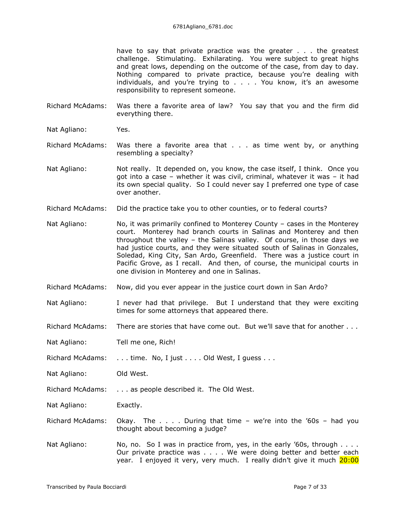have to say that private practice was the greater . . . the greatest challenge. Stimulating. Exhilarating. You were subject to great highs and great lows, depending on the outcome of the case, from day to day. Nothing compared to private practice, because you're dealing with individuals, and you're trying to . . . . You know, it's an awesome responsibility to represent someone.

- Richard McAdams: Was there a favorite area of law? You say that you and the firm did everything there.
- Nat Agliano: Yes.
- Richard McAdams: Was there a favorite area that . . . as time went by, or anything resembling a specialty?
- Nat Agliano: Not really. It depended on, you know, the case itself, I think. Once you got into a case – whether it was civil, criminal, whatever it was – it had its own special quality. So I could never say I preferred one type of case over another.
- Richard McAdams: Did the practice take you to other counties, or to federal courts?
- Nat Agliano: No, it was primarily confined to Monterey County cases in the Monterey court. Monterey had branch courts in Salinas and Monterey and then throughout the valley – the Salinas valley. Of course, in those days we had justice courts, and they were situated south of Salinas in Gonzales, Soledad, King City, San Ardo, Greenfield. There was a justice court in Pacific Grove, as I recall. And then, of course, the municipal courts in one division in Monterey and one in Salinas.
- Richard McAdams: Now, did you ever appear in the justice court down in San Ardo?
- Nat Agliano: I never had that privilege. But I understand that they were exciting times for some attorneys that appeared there.
- Richard McAdams: There are stories that have come out. But we'll save that for another . . .
- Nat Agliano: Tell me one, Rich!
- Richard McAdams: . . . time. No, I just . . . . Old West, I guess . . .
- Nat Agliano: Old West.
- Richard McAdams: . . . as people described it. The Old West.
- Nat Agliano: Exactly.
- Richard McAdams: Okay. The  $\ldots$  . During that time we're into the '60s had you thought about becoming a judge?
- Nat Agliano: No, no. So I was in practice from, yes, in the early '60s, through . . . . Our private practice was . . . . We were doing better and better each year. I enjoyed it very, very much. I really didn't give it much 20:00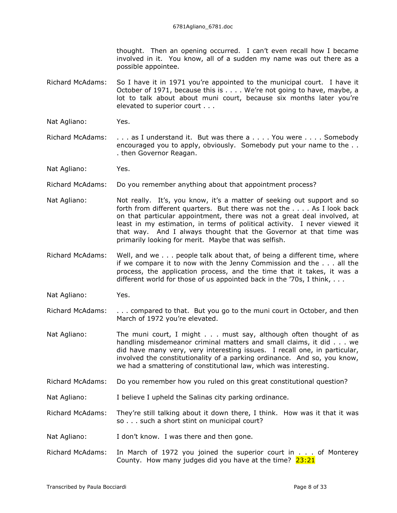thought. Then an opening occurred. I can't even recall how I became involved in it. You know, all of a sudden my name was out there as a possible appointee.

- Richard McAdams: So I have it in 1971 you're appointed to the municipal court. I have it October of 1971, because this is . . . . We're not going to have, maybe, a lot to talk about about muni court, because six months later you're elevated to superior court . . .
- Nat Agliano: Yes.
- Richard McAdams: . . . as I understand it. But was there a . . . . You were . . . . Somebody encouraged you to apply, obviously. Somebody put your name to the . . . then Governor Reagan.
- Nat Agliano: Yes.
- Richard McAdams: Do you remember anything about that appointment process?
- Nat Agliano: Not really. It's, you know, it's a matter of seeking out support and so forth from different quarters. But there was not the . . . . As I look back on that particular appointment, there was not a great deal involved, at least in my estimation, in terms of political activity. I never viewed it that way. And I always thought that the Governor at that time was primarily looking for merit. Maybe that was selfish.
- Richard McAdams: Well, and we . . . people talk about that, of being a different time, where if we compare it to now with the Jenny Commission and the . . . all the process, the application process, and the time that it takes, it was a different world for those of us appointed back in the '70s, I think, ...
- Nat Agliano: Yes.
- Richard McAdams: . . . compared to that. But you go to the muni court in October, and then March of 1972 you're elevated.
- Nat Agliano: The muni court, I might . . . must say, although often thought of as handling misdemeanor criminal matters and small claims, it did . . . we did have many very, very interesting issues. I recall one, in particular, involved the constitutionality of a parking ordinance. And so, you know, we had a smattering of constitutional law, which was interesting.
- Richard McAdams: Do you remember how you ruled on this great constitutional question?
- Nat Agliano: I believe I upheld the Salinas city parking ordinance.
- Richard McAdams: They're still talking about it down there, I think. How was it that it was so . . . such a short stint on municipal court?
- Nat Agliano: I don't know. I was there and then gone.
- Richard McAdams: In March of 1972 you joined the superior court in . . . of Monterey County. How many judges did you have at the time?  $23:21$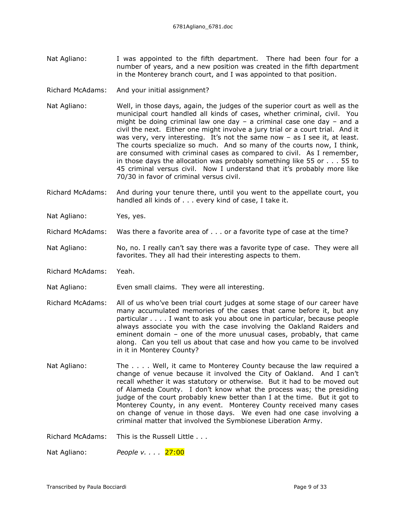- Nat Agliano: I was appointed to the fifth department. There had been four for a number of years, and a new position was created in the fifth department in the Monterey branch court, and I was appointed to that position.
- Richard McAdams: And your initial assignment?
- Nat Agliano: Well, in those days, again, the judges of the superior court as well as the municipal court handled all kinds of cases, whether criminal, civil. You might be doing criminal law one day  $-$  a criminal case one day  $-$  and a civil the next. Either one might involve a jury trial or a court trial. And it was very, very interesting. It's not the same now  $-$  as I see it, at least. The courts specialize so much. And so many of the courts now, I think, are consumed with criminal cases as compared to civil. As I remember, in those days the allocation was probably something like 55 or . . . 55 to 45 criminal versus civil. Now I understand that it's probably more like 70/30 in favor of criminal versus civil.
- Richard McAdams: And during your tenure there, until you went to the appellate court, you handled all kinds of . . . every kind of case, I take it.
- Nat Agliano: Yes, yes.
- Richard McAdams: Was there a favorite area of . . . or a favorite type of case at the time?
- Nat Agliano: No, no. I really can't say there was a favorite type of case. They were all favorites. They all had their interesting aspects to them.
- Richard McAdams: Yeah.
- Nat Agliano: Even small claims. They were all interesting.
- Richard McAdams: All of us who've been trial court judges at some stage of our career have many accumulated memories of the cases that came before it, but any particular . . . . I want to ask you about one in particular, because people always associate you with the case involving the Oakland Raiders and eminent domain – one of the more unusual cases, probably, that came along. Can you tell us about that case and how you came to be involved in it in Monterey County?
- Nat Agliano: The . . . . Well, it came to Monterey County because the law required a change of venue because it involved the City of Oakland. And I can't recall whether it was statutory or otherwise. But it had to be moved out of Alameda County. I don't know what the process was; the presiding judge of the court probably knew better than I at the time. But it got to Monterey County, in any event. Monterey County received many cases on change of venue in those days. We even had one case involving a criminal matter that involved the Symbionese Liberation Army.

Richard McAdams: This is the Russell Little . . .

Nat Agliano: *People v. . . .* 27:00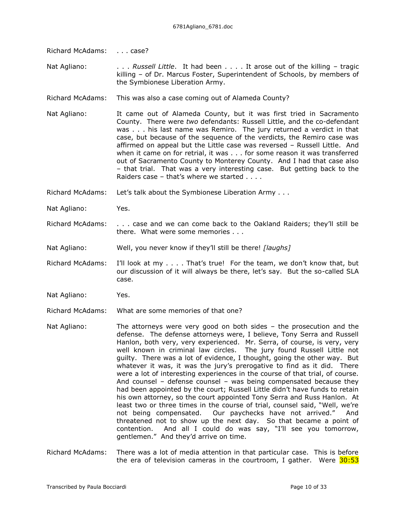Richard McAdams: . . . . case?

Nat Agliano: . . . . *Russell Little*. It had been . . . . It arose out of the killing – tragic killing – of Dr. Marcus Foster, Superintendent of Schools, by members of the Symbionese Liberation Army.

- Richard McAdams: This was also a case coming out of Alameda County?
- Nat Agliano: It came out of Alameda County, but it was first tried in Sacramento County. There were *two* defendants: Russell Little, and the co-defendant was . . . his last name was Remiro. The jury returned a verdict in that case, but because of the sequence of the verdicts, the Remiro case was affirmed on appeal but the Little case was reversed – Russell Little. And when it came on for retrial, it was . . . for some reason it was transferred out of Sacramento County to Monterey County. And I had that case also – that trial. That was a very interesting case. But getting back to the Raiders case – that's where we started . . . .
- Richard McAdams: Let's talk about the Symbionese Liberation Army . . .
- Nat Agliano: Yes.
- Richard McAdams: . . . case and we can come back to the Oakland Raiders; they'll still be there. What were some memories . . .
- Nat Agliano: Well, you never know if they'll still be there! *[laughs]*
- Richard McAdams: I'll look at my . . . . That's true! For the team, we don't know that, but our discussion of it will always be there, let's say. But the so-called SLA case.
- Nat Agliano: Yes.
- Richard McAdams: What are some memories of that one?
- Nat Agliano: The attorneys were very good on both sides the prosecution and the defense. The defense attorneys were, I believe, Tony Serra and Russell Hanlon, both very, very experienced. Mr. Serra, of course, is very, very well known in criminal law circles. The jury found Russell Little not guilty. There was a lot of evidence, I thought, going the other way. But whatever it was, it was the jury's prerogative to find as it did. There were a lot of interesting experiences in the course of that trial, of course. And counsel – defense counsel – was being compensated because they had been appointed by the court; Russell Little didn't have funds to retain his own attorney, so the court appointed Tony Serra and Russ Hanlon. At least two or three times in the course of trial, counsel said, "Well, we're not being compensated. Our paychecks have not arrived." And threatened not to show up the next day. So that became a point of contention. And all I could do was say, "I'll see you tomorrow, gentlemen." And they'd arrive on time.
- Richard McAdams: There was a lot of media attention in that particular case. This is before the era of television cameras in the courtroom, I gather. Were  $30:53$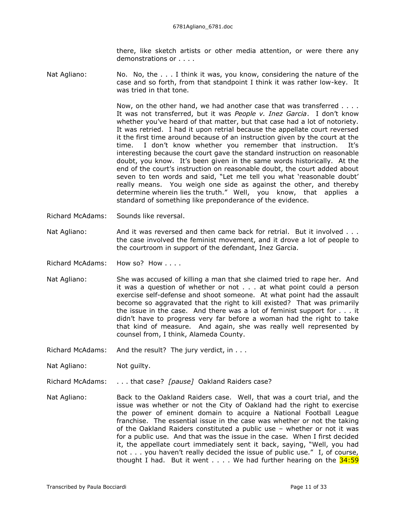there, like sketch artists or other media attention, or were there any demonstrations or . . . .

Nat Agliano: No. No, the . . . I think it was, you know, considering the nature of the case and so forth, from that standpoint I think it was rather low-key. It was tried in that tone.

> Now, on the other hand, we had another case that was transferred . . . . It was not transferred, but it was *People v. Inez Garcia*. I don't know whether you've heard of that matter, but that case had a lot of notoriety. It was retried. I had it upon retrial because the appellate court reversed it the first time around because of an instruction given by the court at the time. I don't know whether you remember that instruction. interesting because the court gave the standard instruction on reasonable doubt, you know. It's been given in the same words historically. At the end of the court's instruction on reasonable doubt, the court added about seven to ten words and said, "Let me tell you what 'reasonable doubt' really means. You weigh one side as against the other, and thereby determine wherein lies the truth." Well, you know, that applies a standard of something like preponderance of the evidence.

- Richard McAdams: Sounds like reversal.
- Nat Agliano: And it was reversed and then came back for retrial. But it involved . . . the case involved the feminist movement, and it drove a lot of people to the courtroom in support of the defendant, Inez Garcia.
- Richard McAdams: How so? How . . . .
- Nat Agliano: She was accused of killing a man that she claimed tried to rape her. And it was a question of whether or not . . . at what point could a person exercise self-defense and shoot someone. At what point had the assault become so aggravated that the right to kill existed? That was primarily the issue in the case. And there was a lot of feminist support for . . . it didn't have to progress very far before a woman had the right to take that kind of measure. And again, she was really well represented by counsel from, I think, Alameda County.
- Richard McAdams: And the result? The jury verdict, in . . .
- Nat Agliano: Not guilty.
- Richard McAdams: . . . that case? *[pause]* Oakland Raiders case?
- Nat Agliano: Back to the Oakland Raiders case. Well, that was a court trial, and the issue was whether or not the City of Oakland had the right to exercise the power of eminent domain to acquire a National Football League franchise. The essential issue in the case was whether or not the taking of the Oakland Raiders constituted a public use – whether or not it was for a public use. And that was the issue in the case. When I first decided it, the appellate court immediately sent it back, saying, "Well, you had not . . . you haven't really decided the issue of public use." I, of course, thought I had. But it went  $\dots$ . We had further hearing on the  $34:59$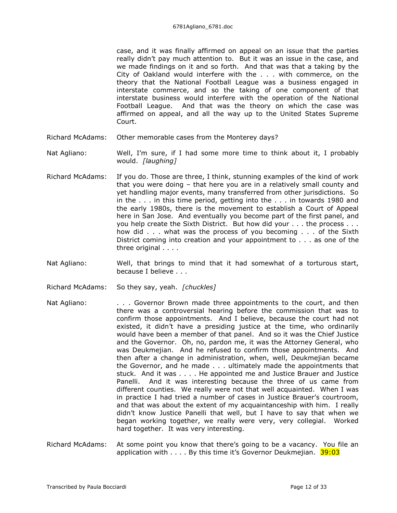case, and it was finally affirmed on appeal on an issue that the parties really didn't pay much attention to. But it was an issue in the case, and we made findings on it and so forth. And that was that a taking by the City of Oakland would interfere with the . . . with commerce, on the theory that the National Football League was a business engaged in interstate commerce, and so the taking of one component of that interstate business would interfere with the operation of the National Football League. And that was the theory on which the case was affirmed on appeal, and all the way up to the United States Supreme Court.

- Richard McAdams: Other memorable cases from the Monterey days?
- Nat Agliano: Well, I'm sure, if I had some more time to think about it, I probably would. *[laughing]*
- Richard McAdams: If you do. Those are three, I think, stunning examples of the kind of work that you were doing – that here you are in a relatively small county and yet handling major events, many transferred from other jurisdictions. So in the . . . in this time period, getting into the . . . in towards 1980 and the early 1980s, there is the movement to establish a Court of Appeal here in San Jose. And eventually you become part of the first panel, and you help create the Sixth District. But how did your . . . the process . . . how did . . . what was the process of you becoming . . . of the Sixth District coming into creation and your appointment to . . . as one of the three original . . . .
- Nat Agliano: Well, that brings to mind that it had somewhat of a torturous start, because I believe . . .
- Richard McAdams: So they say, yeah. *[chuckles]*
- Nat Agliano: . . . . Governor Brown made three appointments to the court, and then there was a controversial hearing before the commission that was to confirm those appointments. And I believe, because the court had not existed, it didn't have a presiding justice at the time, who ordinarily would have been a member of that panel. And so it was the Chief Justice and the Governor. Oh, no, pardon me, it was the Attorney General, who was Deukmejian. And he refused to confirm those appointments. And then after a change in administration, when, well, Deukmejian became the Governor, and he made . . . ultimately made the appointments that stuck. And it was . . . . He appointed me and Justice Brauer and Justice Panelli. And it was interesting because the three of us came from different counties. We really were not that well acquainted. When I was in practice I had tried a number of cases in Justice Brauer's courtroom, and that was about the extent of my acquaintanceship with him. I really didn't know Justice Panelli that well, but I have to say that when we began working together, we really were very, very collegial. Worked hard together. It was very interesting.
- Richard McAdams: At some point you know that there's going to be a vacancy. You file an application with  $\ldots$ . By this time it's Governor Deukmejian.  $39:03$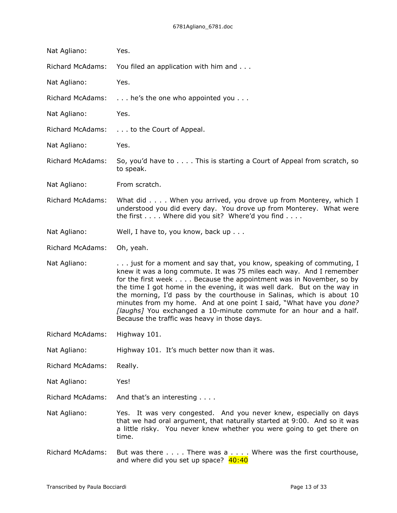| Nat Agliano:            | Yes.                                                                                                                                                                                                                                                                                                                                                                                                                                                                                                                                                             |
|-------------------------|------------------------------------------------------------------------------------------------------------------------------------------------------------------------------------------------------------------------------------------------------------------------------------------------------------------------------------------------------------------------------------------------------------------------------------------------------------------------------------------------------------------------------------------------------------------|
| <b>Richard McAdams:</b> | You filed an application with him and                                                                                                                                                                                                                                                                                                                                                                                                                                                                                                                            |
| Nat Agliano:            | Yes.                                                                                                                                                                                                                                                                                                                                                                                                                                                                                                                                                             |
| <b>Richard McAdams:</b> | he's the one who appointed you                                                                                                                                                                                                                                                                                                                                                                                                                                                                                                                                   |
| Nat Agliano:            | Yes.                                                                                                                                                                                                                                                                                                                                                                                                                                                                                                                                                             |
| <b>Richard McAdams:</b> | to the Court of Appeal.                                                                                                                                                                                                                                                                                                                                                                                                                                                                                                                                          |
| Nat Agliano:            | Yes.                                                                                                                                                                                                                                                                                                                                                                                                                                                                                                                                                             |
| <b>Richard McAdams:</b> | So, you'd have to This is starting a Court of Appeal from scratch, so<br>to speak.                                                                                                                                                                                                                                                                                                                                                                                                                                                                               |
| Nat Agliano:            | From scratch.                                                                                                                                                                                                                                                                                                                                                                                                                                                                                                                                                    |
| <b>Richard McAdams:</b> | What did When you arrived, you drove up from Monterey, which I<br>understood you did every day. You drove up from Monterey. What were<br>the first Where did you sit? Where'd you find                                                                                                                                                                                                                                                                                                                                                                           |
| Nat Agliano:            | Well, I have to, you know, back up                                                                                                                                                                                                                                                                                                                                                                                                                                                                                                                               |
| <b>Richard McAdams:</b> | Oh, yeah.                                                                                                                                                                                                                                                                                                                                                                                                                                                                                                                                                        |
| Nat Agliano:            | just for a moment and say that, you know, speaking of commuting, I<br>knew it was a long commute. It was 75 miles each way. And I remember<br>for the first week Because the appointment was in November, so by<br>the time I got home in the evening, it was well dark. But on the way in<br>the morning, I'd pass by the courthouse in Salinas, which is about 10<br>minutes from my home. And at one point I said, "What have you done?<br>[laughs] You exchanged a 10-minute commute for an hour and a half.<br>Because the traffic was heavy in those days. |
| Richard McAdams:        | Highway 101.                                                                                                                                                                                                                                                                                                                                                                                                                                                                                                                                                     |
| Nat Agliano:            | Highway 101. It's much better now than it was.                                                                                                                                                                                                                                                                                                                                                                                                                                                                                                                   |
| <b>Richard McAdams:</b> | Really.                                                                                                                                                                                                                                                                                                                                                                                                                                                                                                                                                          |
| Nat Agliano:            | Yes!                                                                                                                                                                                                                                                                                                                                                                                                                                                                                                                                                             |
| <b>Richard McAdams:</b> | And that's an interesting                                                                                                                                                                                                                                                                                                                                                                                                                                                                                                                                        |
| Nat Agliano:            | Yes. It was very congested. And you never knew, especially on days<br>that we had oral argument, that naturally started at 9:00. And so it was<br>a little risky. You never knew whether you were going to get there on<br>time.                                                                                                                                                                                                                                                                                                                                 |
| Richard McAdams:        | But was there $\dots$ . There was $a \dots$ Where was the first courthouse,<br>and where did you set up space? 40:40                                                                                                                                                                                                                                                                                                                                                                                                                                             |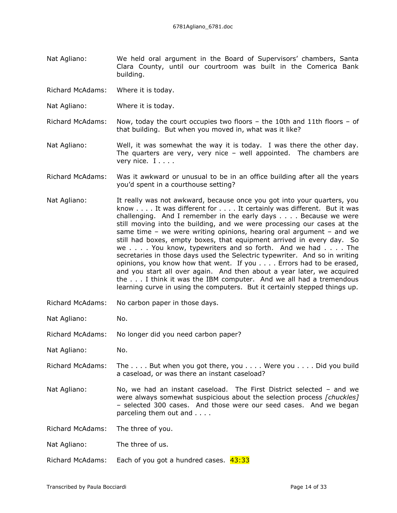Nat Agliano: We held oral argument in the Board of Supervisors' chambers, Santa Clara County, until our courtroom was built in the Comerica Bank building.

Richard McAdams: Where it is today.

- Nat Agliano: Where it is today.
- Richard McAdams: Now, today the court occupies two floors the 10th and 11th floors of that building. But when you moved in, what was it like?
- Nat Agliano: Well, it was somewhat the way it is today. I was there the other day. The quarters are very, very nice – well appointed. The chambers are very nice. I . . . .
- Richard McAdams: Was it awkward or unusual to be in an office building after all the years you'd spent in a courthouse setting?
- Nat Agliano: It really was not awkward, because once you got into your quarters, you know . . . . It was different for . . . . It certainly was different. But it was challenging. And I remember in the early days . . . . Because we were still moving into the building, and we were processing our cases at the same time – we were writing opinions, hearing oral argument – and we still had boxes, empty boxes, that equipment arrived in every day. So we . . . . You know, typewriters and so forth. And we had . . . . The secretaries in those days used the Selectric typewriter. And so in writing opinions, you know how that went. If you . . . . Errors had to be erased, and you start all over again. And then about a year later, we acquired the . . . I think it was the IBM computer. And we all had a tremendous learning curve in using the computers. But it certainly stepped things up.
- Richard McAdams: No carbon paper in those days.
- Nat Agliano: No.
- Richard McAdams: No longer did you need carbon paper?
- Nat Agliano: No.
- Richard McAdams: The . . . . But when you got there, you . . . . Were you . . . . Did you build a caseload, or was there an instant caseload?
- Nat Agliano: No, we had an instant caseload. The First District selected and we were always somewhat suspicious about the selection process *[chuckles]* – selected 300 cases. And those were our seed cases. And we began parceling them out and . . . .
- Richard McAdams: The three of you.
- Nat Agliano: The three of us.
- Richard McAdams: Each of you got a hundred cases.  $43:33$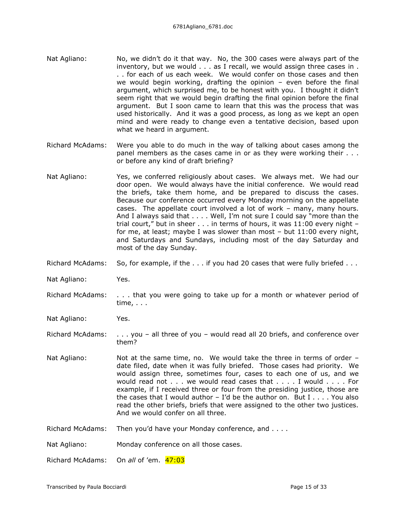- Nat Agliano: No, we didn't do it that way. No, the 300 cases were always part of the inventory, but we would . . . as I recall, we would assign three cases in . . . for each of us each week. We would confer on those cases and then we would begin working, drafting the opinion – even before the final argument, which surprised me, to be honest with you. I thought it didn't seem right that we would begin drafting the final opinion before the final argument. But I soon came to learn that this was the process that was used historically. And it was a good process, as long as we kept an open mind and were ready to change even a tentative decision, based upon what we heard in argument.
- Richard McAdams: Were you able to do much in the way of talking about cases among the panel members as the cases came in or as they were working their . . . or before any kind of draft briefing?
- Nat Agliano: Yes, we conferred religiously about cases. We always met. We had our door open. We would always have the initial conference. We would read the briefs, take them home, and be prepared to discuss the cases. Because our conference occurred every Monday morning on the appellate cases. The appellate court involved a lot of work – many, many hours. And I always said that . . . . Well, I'm not sure I could say "more than the trial court," but in sheer . . . in terms of hours, it was 11:00 every night – for me, at least; maybe I was slower than most – but 11:00 every night, and Saturdays and Sundays, including most of the day Saturday and most of the day Sunday.
- Richard McAdams: So, for example, if the . . . if you had 20 cases that were fully briefed . . .

Nat Agliano: Yes.

Richard McAdams: . . . that you were going to take up for a month or whatever period of time, . . .

Nat Agliano: Yes.

- Richard McAdams: . . . you all three of you would read all 20 briefs, and conference over them?
- Nat Agliano: Not at the same time, no. We would take the three in terms of order date filed, date when it was fully briefed. Those cases had priority. We would assign three, sometimes four, cases to each one of us, and we would read not . . . we would read cases that . . . . I would . . . . For example, if I received three or four from the presiding justice, those are the cases that I would author  $-$  I'd be the author on. But I  $\ldots$ . You also read the other briefs, briefs that were assigned to the other two justices. And we would confer on all three.
- Richard McAdams: Then you'd have your Monday conference, and . . . .
- Nat Agliano: Monday conference on all those cases.

Richard McAdams: On *all* of 'em. 47:03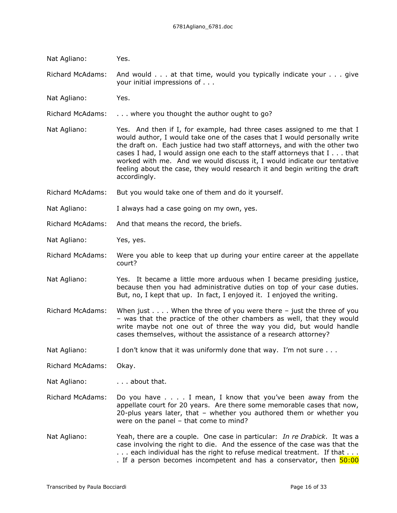| Nat Agliano:            | Yes.                                                                                                                                                                                                                                                                                                                                                                                                                                                                                  |
|-------------------------|---------------------------------------------------------------------------------------------------------------------------------------------------------------------------------------------------------------------------------------------------------------------------------------------------------------------------------------------------------------------------------------------------------------------------------------------------------------------------------------|
| <b>Richard McAdams:</b> | And would at that time, would you typically indicate your give<br>your initial impressions of                                                                                                                                                                                                                                                                                                                                                                                         |
| Nat Agliano:            | Yes.                                                                                                                                                                                                                                                                                                                                                                                                                                                                                  |
| <b>Richard McAdams:</b> | where you thought the author ought to go?                                                                                                                                                                                                                                                                                                                                                                                                                                             |
| Nat Agliano:            | Yes. And then if I, for example, had three cases assigned to me that I<br>would author, I would take one of the cases that I would personally write<br>the draft on. Each justice had two staff attorneys, and with the other two<br>cases I had, I would assign one each to the staff attorneys that I that<br>worked with me. And we would discuss it, I would indicate our tentative<br>feeling about the case, they would research it and begin writing the draft<br>accordingly. |
| <b>Richard McAdams:</b> | But you would take one of them and do it yourself.                                                                                                                                                                                                                                                                                                                                                                                                                                    |
| Nat Agliano:            | I always had a case going on my own, yes.                                                                                                                                                                                                                                                                                                                                                                                                                                             |
| <b>Richard McAdams:</b> | And that means the record, the briefs.                                                                                                                                                                                                                                                                                                                                                                                                                                                |
| Nat Agliano:            | Yes, yes.                                                                                                                                                                                                                                                                                                                                                                                                                                                                             |
| <b>Richard McAdams:</b> | Were you able to keep that up during your entire career at the appellate<br>court?                                                                                                                                                                                                                                                                                                                                                                                                    |
| Nat Agliano:            | Yes. It became a little more arduous when I became presiding justice,<br>because then you had administrative duties on top of your case duties.<br>But, no, I kept that up. In fact, I enjoyed it. I enjoyed the writing.                                                                                                                                                                                                                                                             |
| <b>Richard McAdams:</b> | When just $\dots$ . When the three of you were there - just the three of you<br>- was that the practice of the other chambers as well, that they would<br>write maybe not one out of three the way you did, but would handle<br>cases themselves, without the assistance of a research attorney?                                                                                                                                                                                      |
| Nat Agliano:            | I don't know that it was uniformly done that way. I'm not sure                                                                                                                                                                                                                                                                                                                                                                                                                        |
| <b>Richard McAdams:</b> | Okay.                                                                                                                                                                                                                                                                                                                                                                                                                                                                                 |
| Nat Agliano:            | about that.                                                                                                                                                                                                                                                                                                                                                                                                                                                                           |
| <b>Richard McAdams:</b> | Do you have I mean, I know that you've been away from the<br>appellate court for 20 years. Are there some memorable cases that now,<br>20-plus years later, that - whether you authored them or whether you<br>were on the panel - that come to mind?                                                                                                                                                                                                                                 |
| Nat Agliano:            | Yeah, there are a couple. One case in particular: In re Drabick. It was a<br>case involving the right to die. And the essence of the case was that the<br>each individual has the right to refuse medical treatment. If that<br>. If a person becomes incompetent and has a conservator, then 50:00                                                                                                                                                                                   |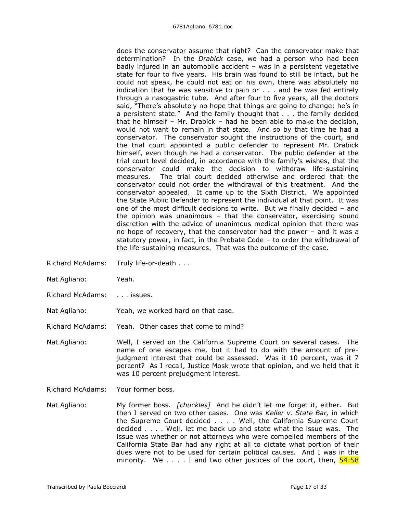does the conservator assume that right? Can the conservator make that determination? In the *Drabick* case, we had a person who had been badly injured in an automobile accident – was in a persistent vegetative state for four to five years. His brain was found to still be intact, but he could not speak, he could not eat on his own, there was absolutely no indication that he was sensitive to pain or . . . and he was fed entirely through a nasogastric tube. And after four to five years, all the doctors said, "There's absolutely no hope that things are going to change; he's in a persistent state." And the family thought that . . . the family decided that he himself – Mr. Drabick – had he been able to make the decision, would not want to remain in that state. And so by that time he had a conservator. The conservator sought the instructions of the court, and the trial court appointed a public defender to represent Mr. Drabick himself, even though he had a conservator. The public defender at the trial court level decided, in accordance with the family's wishes, that the conservator could make the decision to withdraw life-sustaining measures. The trial court decided otherwise and ordered that the conservator could not order the withdrawal of this treatment. And the conservator appealed. It came up to the Sixth District. We appointed the State Public Defender to represent the individual at that point. It was one of the most difficult decisions to write. But we finally decided – and the opinion was unanimous – that the conservator, exercising sound discretion with the advice of unanimous medical opinion that there was no hope of recovery, that the conservator had the power – and it was a statutory power, in fact, in the Probate Code – to order the withdrawal of the life-sustaining measures. That was the outcome of the case.

- Richard McAdams: Truly life-or-death . . .
- Nat Agliano: Yeah.
- Richard McAdams: . . . issues.
- Nat Agliano: Yeah, we worked hard on that case.
- Richard McAdams: Yeah. Other cases that come to mind?
- Nat Agliano: Well, I served on the California Supreme Court on several cases. The name of one escapes me, but it had to do with the amount of prejudgment interest that could be assessed. Was it 10 percent, was it 7 percent? As I recall, Justice Mosk wrote that opinion, and we held that it was 10 percent prejudgment interest.
- Richard McAdams: Your former boss.
- Nat Agliano: My former boss. *[chuckles]* And he didn't let me forget it, either. But then I served on two other cases. One was *Keller v. State Bar,* in which the Supreme Court decided . . . . Well, the California Supreme Court decided . . . . Well, let me back up and state what the issue was. The issue was whether or not attorneys who were compelled members of the California State Bar had any right at all to dictate what portion of their dues were not to be used for certain political causes. And I was in the minority. We  $\dots$  I and two other justices of the court, then,  $\frac{54:58}{2}$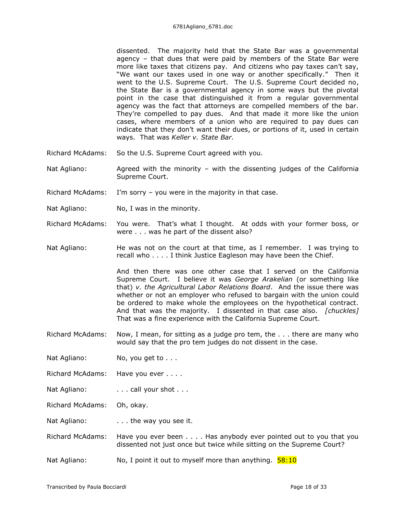dissented. The majority held that the State Bar was a governmental agency – that dues that were paid by members of the State Bar were more like taxes that citizens pay. And citizens who pay taxes can't say, "We want our taxes used in one way or another specifically." Then it went to the U.S. Supreme Court. The U.S. Supreme Court decided no, the State Bar is a governmental agency in some ways but the pivotal point in the case that distinguished it from a regular governmental agency was the fact that attorneys are compelled members of the bar. They're compelled to pay dues. And that made it more like the union cases, where members of a union who are required to pay dues can indicate that they don't want their dues, or portions of it, used in certain ways. That was *Keller v. State Bar.*

- Richard McAdams: So the U.S. Supreme Court agreed with you.
- Nat Agliano:  $\frac{1}{2}$  Agreed with the minority with the dissenting judges of the California Supreme Court.
- Richard McAdams: I'm sorry you were in the majority in that case.
- Nat Agliano: No, I was in the minority.
- Richard McAdams: You were. That's what I thought. At odds with your former boss, or were . . . was he part of the dissent also?
- Nat Agliano: He was not on the court at that time, as I remember. I was trying to recall who . . . . I think Justice Eagleson may have been the Chief.

And then there was one other case that I served on the California Supreme Court. I believe it was *George Arakelian* (or something like that) *v. the Agricultural Labor Relations Board*. And the issue there was whether or not an employer who refused to bargain with the union could be ordered to make whole the employees on the hypothetical contract. And that was the majority. I dissented in that case also. *[chuckles]* That was a fine experience with the California Supreme Court.

- Richard McAdams: Now, I mean, for sitting as a judge pro tem, the . . . there are many who would say that the pro tem judges do not dissent in the case.
- Nat Agliano: No, you get to . . .
- Richard McAdams: Have you ever . . . .
- Nat Agliano: . . . . . . . . call your shot . . .

Richard McAdams: Oh, okay.

Nat Agliano: . . . . . . the way you see it.

- Richard McAdams: Have you ever been . . . . Has anybody ever pointed out to you that you dissented not just once but twice while sitting on the Supreme Court?
- Nat Agliano: No, I point it out to myself more than anything.  $58:10$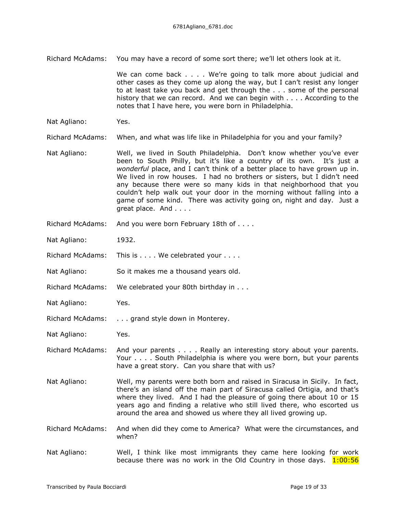Richard McAdams: You may have a record of some sort there; we'll let others look at it.

We can come back . . . . We're going to talk more about judicial and other cases as they come up along the way, but I can't resist any longer to at least take you back and get through the . . . some of the personal history that we can record. And we can begin with . . . . According to the notes that I have here, you were born in Philadelphia.

Nat Agliano: Yes.

Richard McAdams: When, and what was life like in Philadelphia for you and your family?

- Nat Agliano: Well, we lived in South Philadelphia. Don't know whether you've ever been to South Philly, but it's like a country of its own. It's just a *wonderful* place, and I can't think of a better place to have grown up in. We lived in row houses. I had no brothers or sisters, but I didn't need any because there were so many kids in that neighborhood that you couldn't help walk out your door in the morning without falling into a game of some kind. There was activity going on, night and day. Just a great place. And . . . .
- Richard McAdams: And you were born February 18th of . . . .
- Nat Agliano: 1932.
- Richard McAdams: This is . . . . We celebrated your . . . .
- Nat Agliano: So it makes me a thousand years old.
- Richard McAdams: We celebrated your 80th birthday in . . .
- Nat Agliano: Yes.
- Richard McAdams: . . . grand style down in Monterey.
- Nat Agliano: Yes.
- Richard McAdams: And your parents . . . . Really an interesting story about your parents. Your . . . . South Philadelphia is where you were born, but your parents have a great story. Can you share that with us?
- Nat Agliano: Well, my parents were both born and raised in Siracusa in Sicily. In fact, there's an island off the main part of Siracusa called Ortigia, and that's where they lived. And I had the pleasure of going there about 10 or 15 years ago and finding a relative who still lived there, who escorted us around the area and showed us where they all lived growing up.
- Richard McAdams: And when did they come to America? What were the circumstances, and when?
- Nat Agliano: Well, I think like most immigrants they came here looking for work because there was no work in the Old Country in those days.  $1:00:56$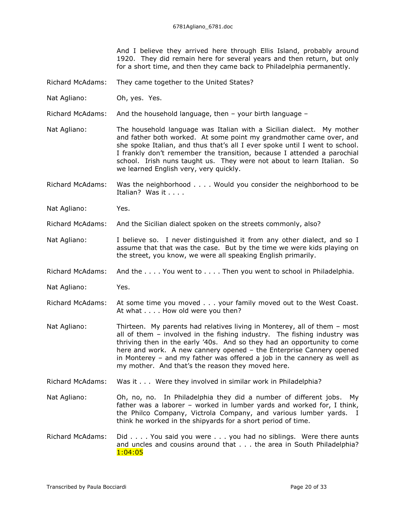And I believe they arrived here through Ellis Island, probably around 1920. They did remain here for several years and then return, but only for a short time, and then they came back to Philadelphia permanently.

- Richard McAdams: They came together to the United States?
- Nat Agliano: Oh, yes. Yes.
- Richard McAdams: And the household language, then your birth language –
- Nat Agliano: The household language was Italian with a Sicilian dialect. My mother and father both worked. At some point my grandmother came over, and she spoke Italian, and thus that's all I ever spoke until I went to school. I frankly don't remember the transition, because I attended a parochial school. Irish nuns taught us. They were not about to learn Italian. So we learned English very, very quickly.
- Richard McAdams: Was the neighborhood . . . . Would you consider the neighborhood to be Italian? Was it . . . .
- Nat Agliano: Yes.
- Richard McAdams: And the Sicilian dialect spoken on the streets commonly, also?
- Nat Agliano: I believe so. I never distinguished it from any other dialect, and so I assume that that was the case. But by the time we were kids playing on the street, you know, we were all speaking English primarily.
- Richard McAdams: And the . . . . You went to . . . . Then you went to school in Philadelphia.
- Nat Agliano: Yes.
- Richard McAdams: At some time you moved . . . your family moved out to the West Coast. At what . . . . How old were you then?
- Nat Agliano: Thirteen. My parents had relatives living in Monterey, all of them most all of them – involved in the fishing industry. The fishing industry was thriving then in the early '40s. And so they had an opportunity to come here and work. A new cannery opened – the Enterprise Cannery opened in Monterey – and my father was offered a job in the cannery as well as my mother. And that's the reason they moved here.
- Richard McAdams: Was it . . . Were they involved in similar work in Philadelphia?
- Nat Agliano: Oh, no, no. In Philadelphia they did a number of different jobs. My father was a laborer – worked in lumber yards and worked for, I think, the Philco Company, Victrola Company, and various lumber yards. I think he worked in the shipyards for a short period of time.
- Richard McAdams: Did . . . . You said you were . . . you had no siblings. Were there aunts and uncles and cousins around that . . . the area in South Philadelphia? 1:04:05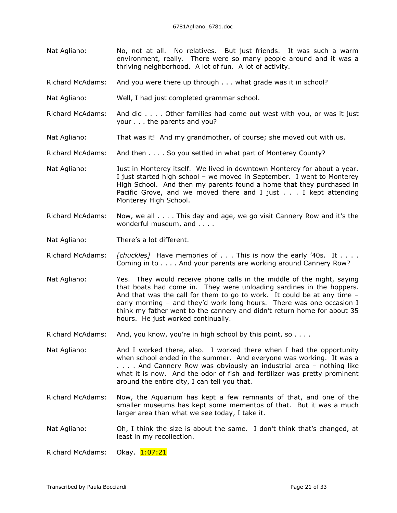- Nat Agliano: No, not at all. No relatives. But just friends. It was such a warm environment, really. There were so many people around and it was a thriving neighborhood. A lot of fun. A lot of activity.
- Richard McAdams: And you were there up through . . . what grade was it in school?
- Nat Agliano: Well, I had just completed grammar school.
- Richard McAdams: And did . . . . Other families had come out west with you, or was it just your . . . the parents and you?
- Nat Agliano: That was it! And my grandmother, of course; she moved out with us.
- Richard McAdams: And then . . . . So you settled in what part of Monterey County?
- Nat Agliano: Just in Monterey itself. We lived in downtown Monterey for about a year. I just started high school – we moved in September. I went to Monterey High School. And then my parents found a home that they purchased in Pacific Grove, and we moved there and I just . . . I kept attending Monterey High School.
- Richard McAdams: Now, we all . . . . This day and age, we go visit Cannery Row and it's the wonderful museum, and . . . .
- Nat Agliano: There's a lot different.
- Richard McAdams: *[chuckles]* Have memories of . . . This is now the early '40s. It . . . . Coming in to . . . . And your parents are working around Cannery Row?
- Nat Agliano: Yes. They would receive phone calls in the middle of the night, saying that boats had come in. They were unloading sardines in the hoppers. And that was the call for them to go to work. It could be at any time – early morning – and they'd work long hours. There was one occasion I think my father went to the cannery and didn't return home for about 35 hours. He just worked continually.
- Richard McAdams: And, you know, you're in high school by this point, so  $\dots$

Nat Agliano: And I worked there, also. I worked there when I had the opportunity when school ended in the summer. And everyone was working. It was a . . . . And Cannery Row was obviously an industrial area – nothing like what it is now. And the odor of fish and fertilizer was pretty prominent around the entire city, I can tell you that.

- Richard McAdams: Now, the Aquarium has kept a few remnants of that, and one of the smaller museums has kept some mementos of that. But it was a much larger area than what we see today, I take it.
- Nat Agliano: Oh, I think the size is about the same. I don't think that's changed, at least in my recollection.

Richard McAdams: Okay. 1:07:21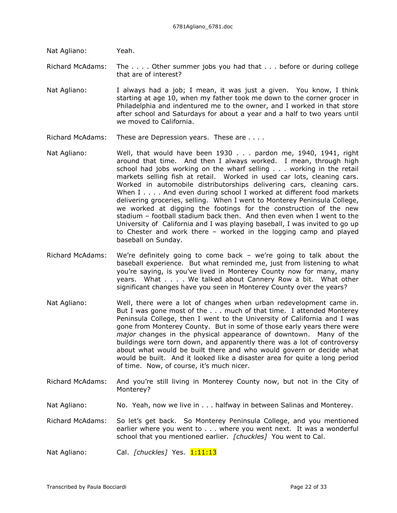Nat Agliano: Yeah.

Richard McAdams: The . . . . Other summer jobs you had that . . . before or during college that are of interest?

Nat Agliano: I always had a job; I mean, it was just a given. You know, I think starting at age 10, when my father took me down to the corner grocer in Philadelphia and indentured me to the owner, and I worked in that store after school and Saturdays for about a year and a half to two years until we moved to California.

- Richard McAdams: These are Depression years. These are . . . .
- Nat Agliano: Well, that would have been 1930 . . . pardon me, 1940, 1941, right around that time. And then I always worked. I mean, through high school had jobs working on the wharf selling . . . working in the retail markets selling fish at retail. Worked in used car lots, cleaning cars. Worked in automobile distributorships delivering cars, cleaning cars. When I . . . . And even during school I worked at different food markets delivering groceries, selling. When I went to Monterey Peninsula College, we worked at digging the footings for the construction of the new stadium – football stadium back then. And then even when I went to the University of California and I was playing baseball, I was invited to go up to Chester and work there – worked in the logging camp and played baseball on Sunday.
- Richard McAdams: We're definitely going to come back we're going to talk about the baseball experience. But what reminded me, just from listening to what you're saying, is you've lived in Monterey County now for many, many years. What . . . . We talked about Cannery Row a bit. What other significant changes have you seen in Monterey County over the years?
- Nat Agliano: Well, there were a lot of changes when urban redevelopment came in. But I was gone most of the . . . much of that time. I attended Monterey Peninsula College, then I went to the University of California and I was gone from Monterey County. But in some of those early years there were *major* changes in the physical appearance of downtown. Many of the buildings were torn down, and apparently there was a lot of controversy about what would be built there and who would govern or decide what would be built. And it looked like a disaster area for quite a long period of time. Now, of course, it's much nicer.
- Richard McAdams: And you're still living in Monterey County now, but not in the City of Monterey?
- Nat Agliano: No. Yeah, now we live in . . . halfway in between Salinas and Monterey.

Richard McAdams: So let's get back. So Monterey Peninsula College, and you mentioned earlier where you went to . . . where you went next. It was a wonderful school that you mentioned earlier. *[chuckles]* You went to Cal.

Nat Agliano: Cal. *[chuckles]* Yes. 1:11:13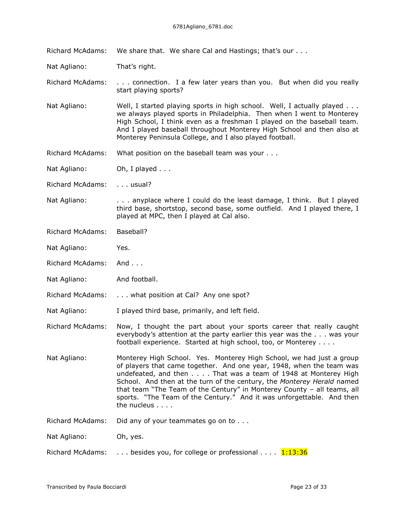Richard McAdams: We share that. We share Cal and Hastings; that's our . . .

Nat Agliano: That's right.

Richard McAdams: . . . connection. I a few later years than you. But when did you really start playing sports?

Nat Agliano: Well, I started playing sports in high school. Well, I actually played . . . we always played sports in Philadelphia. Then when I went to Monterey High School, I think even as a freshman I played on the baseball team. And I played baseball throughout Monterey High School and then also at Monterey Peninsula College, and I also played football.

Richard McAdams: What position on the baseball team was your . . .

Nat Agliano: Oh, I played ...

Richard McAdams: . . . usual?

Nat Agliano: . . . . . anyplace where I could do the least damage, I think. But I played third base, shortstop, second base, some outfield. And I played there, I played at MPC, then I played at Cal also.

Richard McAdams: Baseball?

Nat Agliano: Yes.

Richard McAdams: And . . .

Nat Agliano: And football.

Richard McAdams: . . . what position at Cal? Any one spot?

Nat Agliano: I played third base, primarily, and left field.

Richard McAdams: Now, I thought the part about your sports career that really caught everybody's attention at the party earlier this year was the . . . was your football experience. Started at high school, too, or Monterey . . . .

Nat Agliano: Monterey High School. Yes. Monterey High School, we had just a group of players that came together. And one year, 1948, when the team was undefeated, and then . . . . That was a team of 1948 at Monterey High School. And then at the turn of the century, the *Monterey Herald* named that team "The Team of the Century" in Monterey County – all teams, all sports. "The Team of the Century." And it was unforgettable. And then the nucleus . . . .

Richard McAdams: Did any of your teammates go on to . . .

Nat Agliano: Oh, yes.

Richard McAdams:  $\ldots$  besides you, for college or professional  $\ldots$   $\frac{1:13:36}{1:13:36}$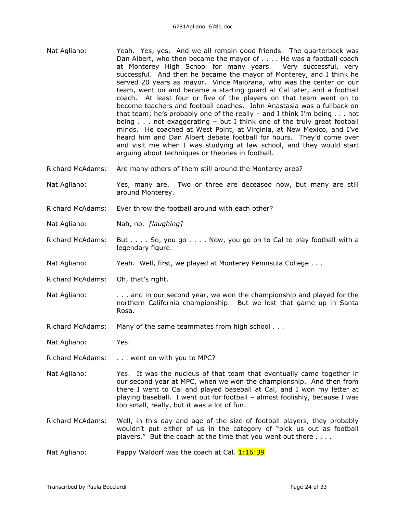- Nat Agliano: Yeah. Yes, yes. And we all remain good friends. The quarterback was Dan Albert, who then became the mayor of . . . . He was a football coach at Monterey High School for many years. Very successful, very successful. And then he became the mayor of Monterey, and I think he served 20 years as mayor. Vince Maiorana, who was the center on our team, went on and became a starting guard at Cal later, and a football coach. At least four or five of the players on that team went on to become teachers and football coaches. John Anastasia was a fullback on that team; he's probably one of the really – and I think I'm being . . . not being . . . not exaggerating – but I think one of the truly great football minds. He coached at West Point, at Virginia, at New Mexico, and I've heard him and Dan Albert debate football for hours. They'd come over and visit me when I was studying at law school, and they would start arguing about techniques or theories in football.
- Richard McAdams: Are many others of them still around the Monterey area?
- Nat Agliano: Yes, many are. Two or three are deceased now, but many are still around Monterey.
- Richard McAdams: Ever throw the football around with each other?
- Nat Agliano: Nah, no. *[laughing]*
- Richard McAdams: But . . . . So, you go . . . . Now, you go on to Cal to play football with a legendary figure.
- Nat Agliano: Yeah. Well, first, we played at Monterey Peninsula College . . .
- Richard McAdams: Oh, that's right.
- Nat Agliano: . . . and in our second year, we won the championship and played for the northern California championship. But we lost that game up in Santa Rosa.
- Richard McAdams: Many of the same teammates from high school . . .

Nat Agliano: Yes.

- Richard McAdams: . . . went on with you to MPC?
- Nat Agliano: Yes. It was the nucleus of that team that eventually came together in our second year at MPC, when we won the championship. And then from there I went to Cal and played baseball at Cal, and I won my letter at playing baseball. I went out for football – almost foolishly, because I was too small, really, but it was a lot of fun.
- Richard McAdams: Well, in this day and age of the size of football players, they probably wouldn't put either of us in the category of "pick us out as football players." But the coach at the time that you went out there . . . .
- Nat Agliano: Pappy Waldorf was the coach at Cal.  $1:16:39$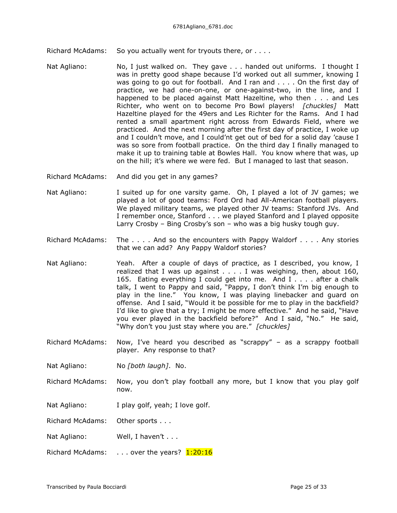Richard McAdams: So you actually went for tryouts there, or . . . .

- Nat Agliano: No, I just walked on. They gave . . . handed out uniforms. I thought I was in pretty good shape because I'd worked out all summer, knowing I was going to go out for football. And I ran and . . . . On the first day of practice, we had one-on-one, or one-against-two, in the line, and I happened to be placed against Matt Hazeltine, who then . . . and Les Richter, who went on to become Pro Bowl players! *[chuckles]* Matt Hazeltine played for the 49ers and Les Richter for the Rams. And I had rented a small apartment right across from Edwards Field, where we practiced. And the next morning after the first day of practice, I woke up and I couldn't move, and I could'nt get out of bed for a solid day 'cause I was so sore from football practice. On the third day I finally managed to make it up to training table at Bowles Hall. You know where that was, up on the hill; it's where we were fed. But I managed to last that season.
- Richard McAdams: And did you get in any games?
- Nat Agliano: I suited up for one varsity game. Oh, I played a lot of JV games; we played a lot of good teams: Ford Ord had All-American football players. We played military teams, we played other JV teams: Stanford JVs. And I remember once, Stanford . . . we played Stanford and I played opposite Larry Crosby – Bing Crosby's son – who was a big husky tough guy.
- Richard McAdams: The . . . . And so the encounters with Pappy Waldorf . . . . Any stories that we can add? Any Pappy Waldorf stories?
- Nat Agliano: Yeah. After a couple of days of practice, as I described, you know, I realized that I was up against . . . . I was weighing, then, about 160, 165. Eating everything I could get into me. And I . . . . after a chalk talk, I went to Pappy and said, "Pappy, I don't think I'm big enough to play in the line." You know, I was playing linebacker and guard on offense. And I said, "Would it be possible for me to play in the backfield? I'd like to give that a try; I might be more effective." And he said, "Have you ever played in the backfield before?" And I said, "No." He said, "Why don't you just stay where you are." *[chuckles]*
- Richard McAdams: Now, I've heard you described as "scrappy" as a scrappy football player. Any response to that?

Nat Agliano: No *[both laugh]*. No.

- Richard McAdams: Now, you don't play football any more, but I know that you play golf now.
- Nat Agliano: I play golf, yeah; I love golf.

Richard McAdams: Other sports . . .

Nat Agliano: Well, I haven't . . .

Richard McAdams:  $\ldots$  over the years?  $1:20:16$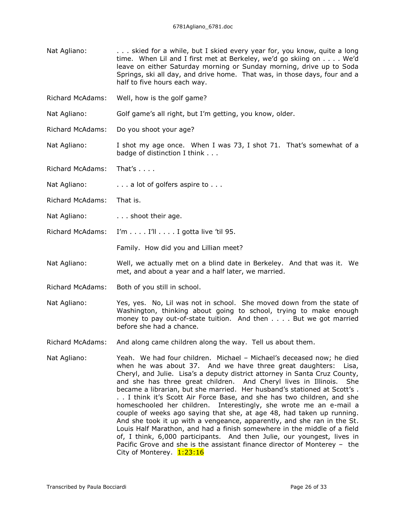- Nat Agliano: . . . . skied for a while, but I skied every year for, you know, quite a long time. When Lil and I first met at Berkeley, we'd go skiing on . . . . We'd leave on either Saturday morning or Sunday morning, drive up to Soda Springs, ski all day, and drive home. That was, in those days, four and a half to five hours each way.
- Richard McAdams: Well, how is the golf game?
- Nat Agliano: Golf game's all right, but I'm getting, you know, older.
- Richard McAdams: Do you shoot your age?
- Nat Agliano: I shot my age once. When I was 73, I shot 71. That's somewhat of a badge of distinction I think . . .
- Richard McAdams: That's . . . .
- Nat Agliano:  $\ldots$  . . . a lot of golfers aspire to . . .
- Richard McAdams: That is.
- Nat Agliano: . . . . . shoot their age.
- Richard McAdams: I'm . . . . I'll . . . . I gotta live 'til 95.

Family. How did you and Lillian meet?

- Nat Agliano: Well, we actually met on a blind date in Berkeley. And that was it. We met, and about a year and a half later, we married.
- Richard McAdams: Both of you still in school.
- Nat Agliano: Yes, yes. No, Lil was not in school. She moved down from the state of Washington, thinking about going to school, trying to make enough money to pay out-of-state tuition. And then . . . . But we got married before she had a chance.
- Richard McAdams: And along came children along the way. Tell us about them.
- Nat Agliano: Yeah. We had four children. Michael Michael's deceased now; he died when he was about 37. And we have three great daughters: Lisa, Cheryl, and Julie. Lisa's a deputy district attorney in Santa Cruz County, and she has three great children. And Cheryl lives in Illinois. She became a librarian, but she married. Her husband's stationed at Scott's . . . I think it's Scott Air Force Base, and she has two children, and she homeschooled her children. Interestingly, she wrote me an e-mail a couple of weeks ago saying that she, at age 48, had taken up running. And she took it up with a vengeance, apparently, and she ran in the St. Louis Half Marathon, and had a finish somewhere in the middle of a field of, I think, 6,000 participants. And then Julie, our youngest, lives in Pacific Grove and she is the assistant finance director of Monterey – the City of Monterey. 1:23:16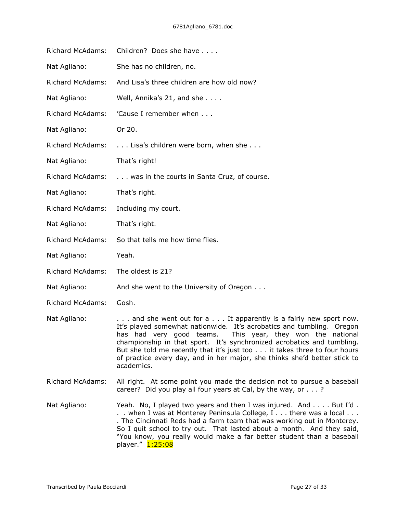| Richard McAdams:        | Children? Does she have                                                                                                                                                                                                                                                                                                                                                                                                                                 |
|-------------------------|---------------------------------------------------------------------------------------------------------------------------------------------------------------------------------------------------------------------------------------------------------------------------------------------------------------------------------------------------------------------------------------------------------------------------------------------------------|
| Nat Agliano:            | She has no children, no.                                                                                                                                                                                                                                                                                                                                                                                                                                |
| Richard McAdams:        | And Lisa's three children are how old now?                                                                                                                                                                                                                                                                                                                                                                                                              |
| Nat Agliano:            | Well, Annika's 21, and she                                                                                                                                                                                                                                                                                                                                                                                                                              |
| <b>Richard McAdams:</b> | 'Cause I remember when                                                                                                                                                                                                                                                                                                                                                                                                                                  |
| Nat Agliano:            | Or 20.                                                                                                                                                                                                                                                                                                                                                                                                                                                  |
| <b>Richard McAdams:</b> | Lisa's children were born, when she                                                                                                                                                                                                                                                                                                                                                                                                                     |
| Nat Agliano:            | That's right!                                                                                                                                                                                                                                                                                                                                                                                                                                           |
| <b>Richard McAdams:</b> | was in the courts in Santa Cruz, of course.                                                                                                                                                                                                                                                                                                                                                                                                             |
| Nat Agliano:            | That's right.                                                                                                                                                                                                                                                                                                                                                                                                                                           |
| <b>Richard McAdams:</b> | Including my court.                                                                                                                                                                                                                                                                                                                                                                                                                                     |
| Nat Agliano:            | That's right.                                                                                                                                                                                                                                                                                                                                                                                                                                           |
| <b>Richard McAdams:</b> | So that tells me how time flies.                                                                                                                                                                                                                                                                                                                                                                                                                        |
| Nat Agliano:            | Yeah.                                                                                                                                                                                                                                                                                                                                                                                                                                                   |
| Richard McAdams:        | The oldest is 21?                                                                                                                                                                                                                                                                                                                                                                                                                                       |
| Nat Agliano:            | And she went to the University of Oregon                                                                                                                                                                                                                                                                                                                                                                                                                |
| <b>Richard McAdams:</b> | Gosh.                                                                                                                                                                                                                                                                                                                                                                                                                                                   |
| Nat Agliano:            | and she went out for a  It apparently is a fairly new sport now.<br>It's played somewhat nationwide. It's acrobatics and tumbling. Oregon<br>has had very good teams. This year, they won the national<br>championship in that sport. It's synchronized acrobatics and tumbling.<br>But she told me recently that it's just too it takes three to four hours<br>of practice every day, and in her major, she thinks she'd better stick to<br>academics. |
| <b>Richard McAdams:</b> | All right. At some point you made the decision not to pursue a baseball<br>career? Did you play all four years at Cal, by the way, or ?                                                                                                                                                                                                                                                                                                                 |
| Nat Agliano:            | Yeah. No, I played two years and then I was injured. And But I'd.                                                                                                                                                                                                                                                                                                                                                                                       |

 $\ldots$  But I'd . . . when I was at Monterey Peninsula College, I . . . there was a local . . . . The Cincinnati Reds had a farm team that was working out in Monterey. So I quit school to try out. That lasted about a month. And they said, "You know, you really would make a far better student than a baseball player." 1:25:08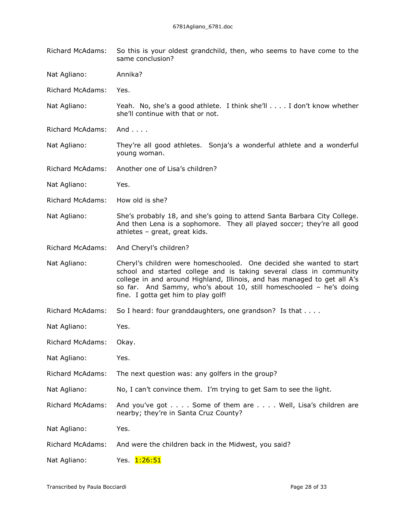Richard McAdams: So this is your oldest grandchild, then, who seems to have come to the same conclusion?

Nat Agliano: Annika?

Richard McAdams: Yes.

- Nat Agliano: Yeah. No, she's a good athlete. I think she'll . . . . I don't know whether she'll continue with that or not.
- Richard McAdams: And . . . .
- Nat Agliano: They're all good athletes. Sonja's a wonderful athlete and a wonderful young woman.
- Richard McAdams: Another one of Lisa's children?
- Nat Agliano: Yes.
- Richard McAdams: How old is she?
- Nat Agliano: She's probably 18, and she's going to attend Santa Barbara City College. And then Lena is a sophomore. They all played soccer; they're all good athletes – great, great kids.

Richard McAdams: And Cheryl's children?

Nat Agliano: Cheryl's children were homeschooled. One decided she wanted to start school and started college and is taking several class in community college in and around Highland, Illinois, and has managed to get all A's so far. And Sammy, who's about 10, still homeschooled – he's doing fine. I gotta get him to play golf!

- Richard McAdams: So I heard: four granddaughters, one grandson? Is that . . . .
- Nat Agliano: Yes.
- Richard McAdams: Okay.
- Nat Agliano: Yes.
- Richard McAdams: The next question was: any golfers in the group?
- Nat Agliano: No, I can't convince them. I'm trying to get Sam to see the light.

Richard McAdams: And you've got . . . . Some of them are . . . . Well, Lisa's children are nearby; they're in Santa Cruz County?

Nat Agliano: Yes.

- Richard McAdams: And were the children back in the Midwest, you said?
- Nat Agliano: Yes. 1:26:51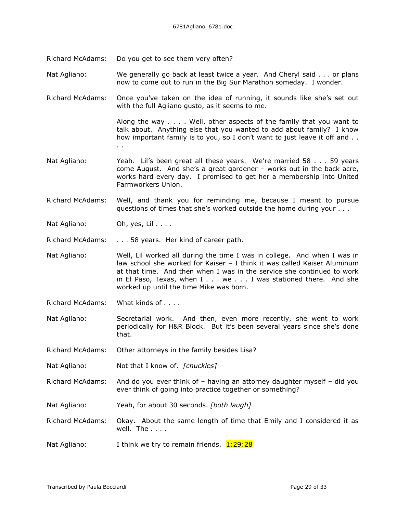- Richard McAdams: Do you get to see them very often?
- Nat Agliano: We generally go back at least twice a year. And Cheryl said . . . or plans now to come out to run in the Big Sur Marathon someday. I wonder.
- Richard McAdams: Once you've taken on the idea of running, it sounds like she's set out with the full Agliano gusto, as it seems to me.

Along the way . . . . Well, other aspects of the family that you want to talk about. Anything else that you wanted to add about family? I know how important family is to you, so I don't want to just leave it off and . . . .

- Nat Agliano: Yeah. Lil's been great all these years. We're married 58 . . . 59 years come August. And she's a great gardener – works out in the back acre, works hard every day. I promised to get her a membership into United Farmworkers Union.
- Richard McAdams: Well, and thank you for reminding me, because I meant to pursue questions of times that she's worked outside the home during your . . .
- Nat Agliano: Oh, yes, Lil . . . .

Richard McAdams: . . . 58 years. Her kind of career path.

- Nat Agliano: Well, Lil worked all during the time I was in college. And when I was in law school she worked for Kaiser – I think it was called Kaiser Aluminum at that time. And then when I was in the service she continued to work in El Paso, Texas, when I . . . we . . . I was stationed there. And she worked up until the time Mike was born.
- Richard McAdams: What kinds of . . . .
- Nat Agliano: Secretarial work. And then, even more recently, she went to work periodically for H&R Block. But it's been several years since she's done that.

Richard McAdams: Other attorneys in the family besides Lisa?

- Nat Agliano: Not that I know of. *[chuckles]*
- Richard McAdams: And do you ever think of having an attorney daughter myself did you ever think of going into practice together or something?
- Nat Agliano: Yeah, for about 30 seconds. *[both laugh]*
- Richard McAdams: Okay. About the same length of time that Emily and I considered it as well. The . . . .
- Nat Agliano: I think we try to remain friends.  $1:29:28$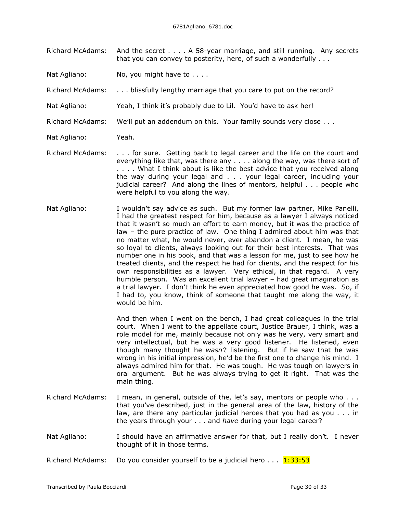- Richard McAdams: And the secret . . . . A 58-year marriage, and still running. Any secrets that you can convey to posterity, here, of such a wonderfully . . .
- Nat Agliano: No, you might have to . . . .
- Richard McAdams: . . . blissfully lengthy marriage that you care to put on the record?
- Nat Agliano: Yeah, I think it's probably due to Lil. You'd have to ask her!
- Richard McAdams: We'll put an addendum on this. Your family sounds very close . . .
- Nat Agliano: Yeah.
- Richard McAdams: . . . for sure. Getting back to legal career and the life on the court and everything like that, was there any . . . . along the way, was there sort of . . . . What I think about is like the best advice that you received along the way during your legal and . . . your legal career, including your judicial career? And along the lines of mentors, helpful . . . people who were helpful to you along the way.
- Nat Agliano: I wouldn't say advice as such. But my former law partner, Mike Panelli, I had the greatest respect for him, because as a lawyer I always noticed that it wasn't so much an effort to earn money, but it was the practice of law – the pure practice of law. One thing I admired about him was that no matter what, he would never, ever abandon a client. I mean, he was so loyal to clients, always looking out for their best interests. That was number one in his book, and that was a lesson for me, just to see how he treated clients, and the respect he had for clients, and the respect for his own responsibilities as a lawyer. Very ethical, in that regard. A very humble person. Was an excellent trial lawyer – had great imagination as a trial lawyer. I don't think he even appreciated how good he was. So, if I had to, you know, think of someone that taught me along the way, it would be him.

And then when I went on the bench, I had great colleagues in the trial court. When I went to the appellate court, Justice Brauer, I think, was a role model for me, mainly because not only was he very, very smart and very intellectual, but he was a very good listener. He listened, even though many thought he *wasn't* listening. But if he saw that he was wrong in his initial impression, he'd be the first one to change his mind. I always admired him for that. He was tough. He was tough on lawyers in oral argument. But he was always trying to get it right. That was the main thing.

- Richard McAdams: I mean, in general, outside of the, let's say, mentors or people who . . . that you've described, just in the general area of the law, history of the law, are there any particular judicial heroes that you had as you . . . in the years through your . . . and *have* during your legal career?
- Nat Agliano: I should have an affirmative answer for that, but I really don't. I never thought of it in those terms.

Richard McAdams: Do you consider yourself to be a judicial hero  $\dots$  1:33:53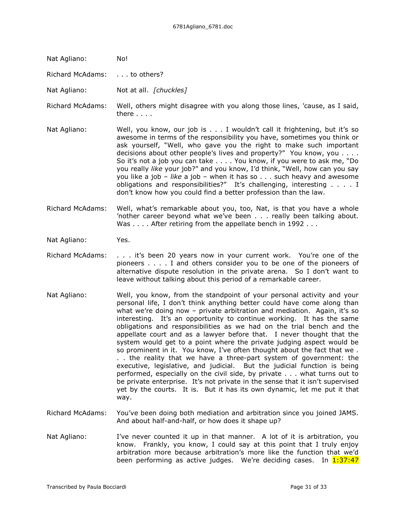Nat Agliano: No!

Richard McAdams: . . . to others?

Nat Agliano: Not at all. *[chuckles]*

Richard McAdams: Well, others might disagree with you along those lines, 'cause, as I said, there . . . .

Nat Agliano: Well, you know, our job is . . . I wouldn't call it frightening, but it's so awesome in terms of the responsibility you have, sometimes you think or ask yourself, "Well, who gave you the right to make such important decisions about other people's lives and property?" You know, you . . . . So it's not a job you can take . . . . You know, if you were to ask me, "Do you really *like* your job?" and you know, I'd think, "Well, how can you say you like a job – *like* a job – when it has so . . . such heavy and awesome obligations and responsibilities?" It's challenging, interesting . . . . I don't know how you could find a better profession than the law.

- Richard McAdams: Well, what's remarkable about you, too, Nat, is that you have a whole 'nother career beyond what we've been . . . really been talking about. Was . . . . After retiring from the appellate bench in 1992 . . .
- Nat Agliano: Yes.
- Richard McAdams: . . . it's been 20 years now in your current work. You're one of the pioneers . . . . I and others consider you to be one of the pioneers of alternative dispute resolution in the private arena. So I don't want to leave without talking about this period of a remarkable career.
- Nat Agliano: Well, you know, from the standpoint of your personal activity and your personal life, I don't think anything better could have come along than what we're doing now – private arbitration and mediation. Again, it's so interesting. It's an opportunity to continue working. It has the same obligations and responsibilities as we had on the trial bench and the appellate court and as a lawyer before that. I never thought that the system would get to a point where the private judging aspect would be so prominent in it. You know, I've often thought about the fact that we . . . the reality that we have a three-part system of government: the executive, legislative, and judicial. But the judicial function is being performed, especially on the civil side, by private . . . what turns out to be private enterprise. It's not private in the sense that it isn't supervised yet by the courts. It is. But it has its own dynamic, let me put it that way.
- Richard McAdams: You've been doing both mediation and arbitration since you joined JAMS. And about half-and-half, or how does it shape up?
- Nat Agliano: I've never counted it up in that manner. A lot of it is arbitration, you know. Frankly, you know, I could say at this point that I truly enjoy arbitration more because arbitration's more like the function that we'd been performing as active judges. We're deciding cases. In  $1:37:47$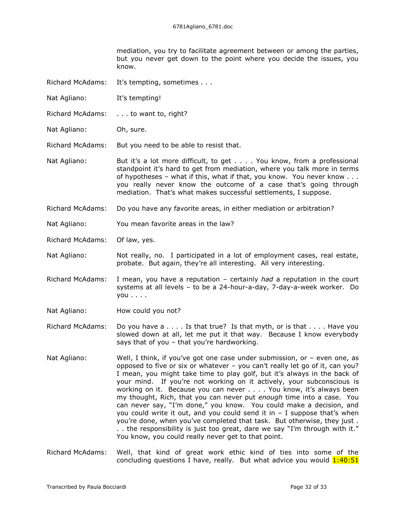mediation, you try to facilitate agreement between or among the parties, but you never get down to the point where you decide the issues, you know.

- Richard McAdams: It's tempting, sometimes . . .
- Nat Agliano: It's tempting!
- Richard McAdams: . . . to want to, right?
- Nat Agliano: Oh, sure.

Richard McAdams: But you need to be able to resist that.

- Nat Agliano: But it's a lot more difficult, to get . . . . You know, from a professional standpoint it's hard to get from mediation, where you talk more in terms of hypotheses – what if this, what if that, you know. You never know . . . you really never know the outcome of a case that's going through mediation. That's what makes successful settlements, I suppose.
- Richard McAdams: Do you have any favorite areas, in either mediation or arbitration?
- Nat Agliano: You mean favorite areas in the law?
- Richard McAdams: Of law, yes.

Nat Agliano: Not really, no. I participated in a lot of employment cases, real estate, probate. But again, they're all interesting. All very interesting.

- Richard McAdams: I mean, you have a reputation certainly *had* a reputation in the court systems at all levels – to be a 24-hour-a-day, 7-day-a-week worker. Do you . . . .
- Nat Agliano: How could you not?
- Richard McAdams: Do you have a . . . . Is that true? Is that myth, or is that . . . . Have you slowed down at all, let me put it that way. Because I know everybody says that of you – that you're hardworking.
- Nat Agliano: Well, I think, if you've got one case under submission, or even one, as opposed to five or six or whatever – you can't really let go of it, can you? I mean, you might take time to play golf, but it's always in the back of your mind. If you're not working on it actively, your subconscious is working on it. Because you can never . . . . You know, it's always been my thought, Rich, that you can never put *enough* time into a case. You can never say, "I'm done," you know. You could make a decision, and you could write it out, and you could send it in  $-$  I suppose that's when you're done, when you've completed that task. But otherwise, they just . . . the responsibility is just too great, dare we say "I'm through with it." You know, you could really never get to that point.
- Richard McAdams: Well, that kind of great work ethic kind of ties into some of the concluding questions I have, really. But what advice you would  $1:40:51$